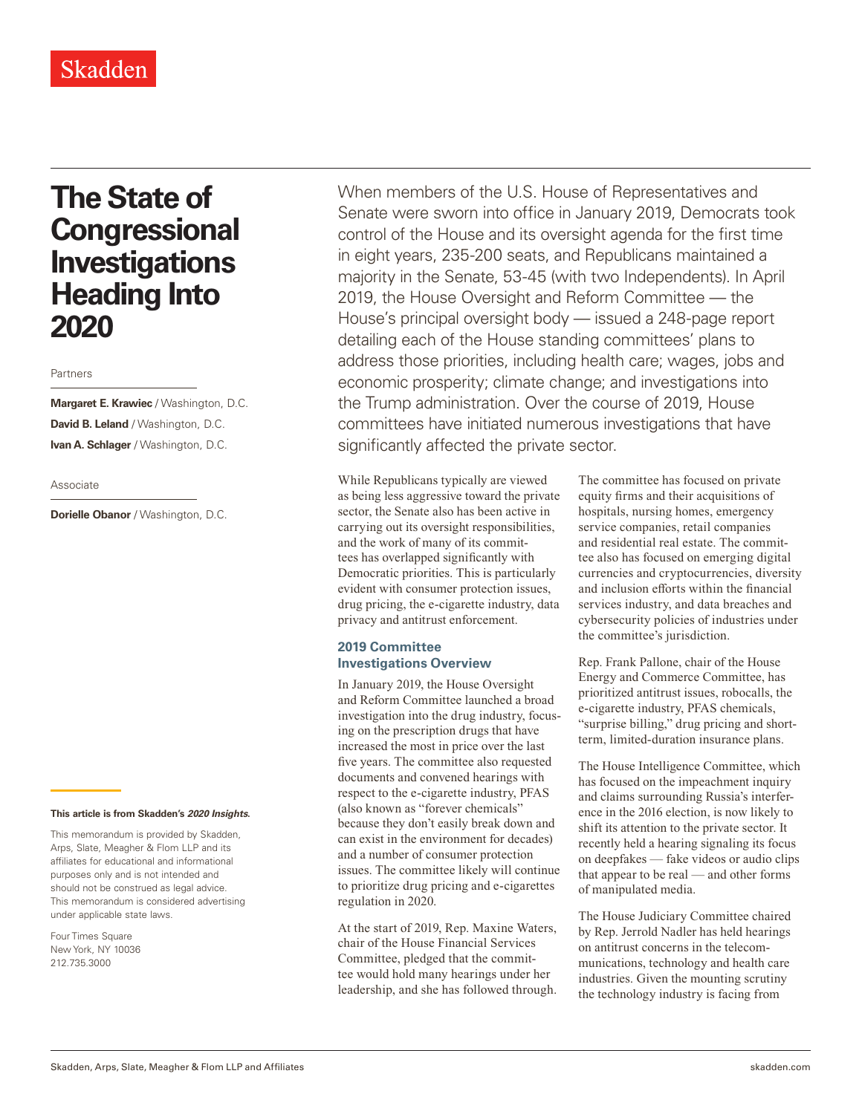## Skadden

# **The State of Congressional Investigations Heading Into 2020**

#### Partners

**Margaret E. Krawiec** / Washington, D.C. **David B. Leland** / Washington, D.C. **Ivan A. Schlager** / Washington, D.C.

#### Associate

**Dorielle Obanor** / Washington, D.C.

#### **This article is from Skadden's** *202[0 Insights](https://www.skadden.com/insights/publications/2020/01/2020-insights/2020-insights)***.**

This memorandum is provided by Skadden, Arps, Slate, Meagher & Flom LLP and its affiliates for educational and informational purposes only and is not intended and should not be construed as legal advice. This memorandum is considered advertising under applicable state laws.

Four Times Square New York, NY 10036 212.735.3000

When members of the U.S. House of Representatives and Senate were sworn into office in January 2019, Democrats took control of the House and its oversight agenda for the first time in eight years, 235-200 seats, and Republicans maintained a majority in the Senate, 53-45 (with two Independents). In April 2019, the House Oversight and Reform Committee — the House's principal oversight body — issued a 248-page report detailing each of the House standing committees' plans to address those priorities, including health care; wages, jobs and economic prosperity; climate change; and investigations into the Trump administration. Over the course of 2019, House committees have initiated numerous investigations that have significantly affected the private sector.

While Republicans typically are viewed as being less aggressive toward the private sector, the Senate also has been active in carrying out its oversight responsibilities, and the work of many of its committees has overlapped significantly with Democratic priorities. This is particularly evident with consumer protection issues, drug pricing, the e-cigarette industry, data privacy and antitrust enforcement.

### **2019 Committee Investigations Overview**

In January 2019, the House Oversight and Reform Committee launched a broad investigation into the drug industry, focusing on the prescription drugs that have increased the most in price over the last five years. The committee also requested documents and convened hearings with respect to the e-cigarette industry, PFAS (also known as "forever chemicals" because they don't easily break down and can exist in the environment for decades) and a number of consumer protection issues. The committee likely will continue to prioritize drug pricing and e-cigarettes regulation in 2020.

At the start of 2019, Rep. Maxine Waters, chair of the House Financial Services Committee, pledged that the committee would hold many hearings under her leadership, and she has followed through. The committee has focused on private equity firms and their acquisitions of hospitals, nursing homes, emergency service companies, retail companies and residential real estate. The committee also has focused on emerging digital currencies and cryptocurrencies, diversity and inclusion efforts within the financial services industry, and data breaches and cybersecurity policies of industries under the committee's jurisdiction.

Rep. Frank Pallone, chair of the House Energy and Commerce Committee, has prioritized antitrust issues, robocalls, the e-cigarette industry, PFAS chemicals, "surprise billing," drug pricing and shortterm, limited-duration insurance plans.

The House Intelligence Committee, which has focused on the impeachment inquiry and claims surrounding Russia's interference in the 2016 election, is now likely to shift its attention to the private sector. It recently held a hearing signaling its focus on deepfakes — fake videos or audio clips that appear to be real — and other forms of manipulated media.

The House Judiciary Committee chaired by Rep. Jerrold Nadler has held hearings on antitrust concerns in the telecommunications, technology and health care industries. Given the mounting scrutiny the technology industry is facing from